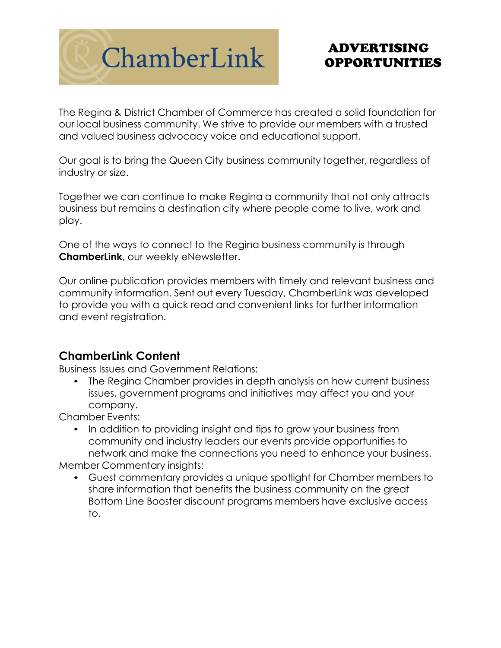

# ADVERTISING OPPORTUNITIES

The Regina & District Chamber of Commerce has created a solid foundation for our local business community. We strive to provide our members with a trusted and valued business advocacy voice and educational support.

Our goal is to bring the Queen City business community together, regardless of industry or size.

Together we can continue to make Regina a community that not only attracts business but remains a destination city where people come to live, work and play.

One of the ways to connect to the Regina business community is through **ChamberLink**, our weekly eNewsletter.

Our online publication provides members with timely and relevant business and community information. Sent out every Tuesday, ChamberLink was developed to provide you with a quick read and convenient links for further information and event registration.

## **ChamberLink Content**

Business Issues and Government Relations:

• The Regina Chamber provides in depth analysis on how current business issues, government programs and initiatives may affect you and your company.

Chamber Events:

• In addition to providing insight and tips to grow your business from community and industry leaders our events provide opportunities to network and make the connections you need to enhance your business.

Member Commentary insights:

• Guest commentary provides a unique spotlight for Chamber members to share information that benefits the business community on the great Bottom Line Booster discount programs members have exclusive access to.